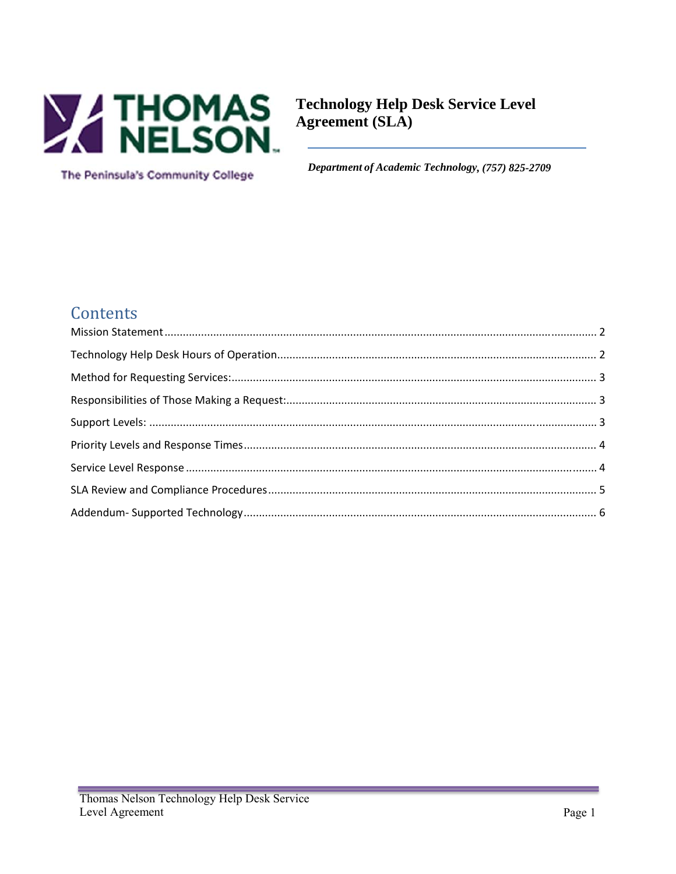

The Peninsula's Community College

**Technology Help Desk Service Level** Agreement (SLA)

Department of Academic Technology, (757) 825-2709

### Contents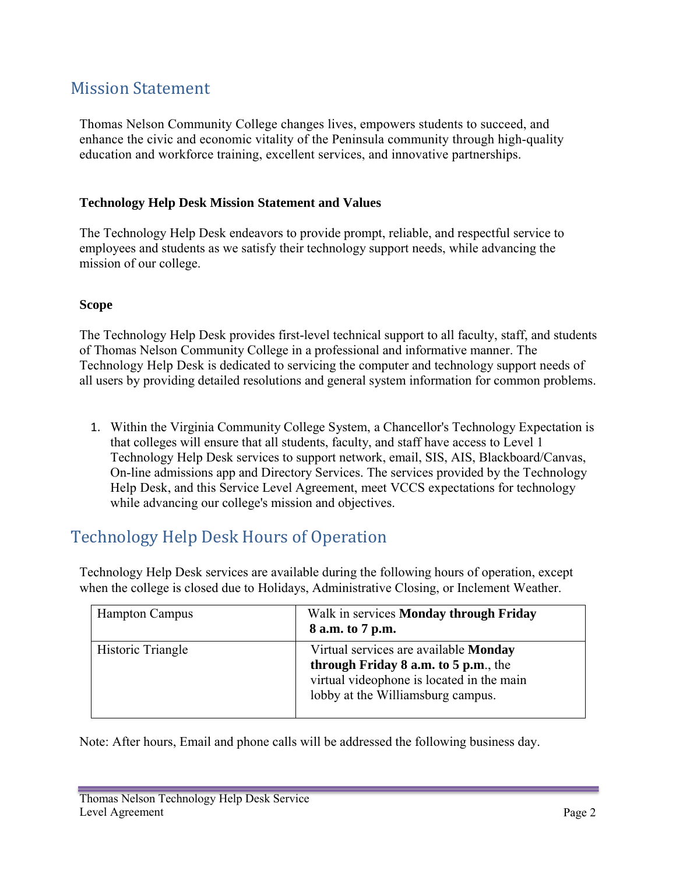#### **Mission Statement**

Thomas Nelson Community College changes lives, empowers students to succeed, and enhance the civic and economic vitality of the Peninsula community through high-quality education and workforce training, excellent services, and innovative partnerships.

#### **Technology Help Desk Mission Statement and Values**

The Technology Help Desk endeavors to provide prompt, reliable, and respectful service to employees and students as we satisfy their technology support needs, while advancing the mission of our college.

#### **Scope**

The Technology Help Desk provides first-level technical support to all faculty, staff, and students of Thomas Nelson Community College in a professional and informative manner. The Technology Help Desk is dedicated to servicing the computer and technology support needs of all users by providing detailed resolutions and general system information for common problems.

1. Within the Virginia Community College System, a Chancellor's Technology Expectation is that colleges will ensure that all students, faculty, and staff have access to Level 1 Technology Help Desk services to support network, email, SIS, AIS, Blackboard/Canvas, On-line admissions app and Directory Services. The services provided by the Technology Help Desk, and this Service Level Agreement, meet VCCS expectations for technology while advancing our college's mission and objectives.

## Technology Help Desk Hours of Operation

Technology Help Desk services are available during the following hours of operation, except when the college is closed due to Holidays, Administrative Closing, or Inclement Weather.

| <b>Hampton Campus</b> | Walk in services <b>Monday through Friday</b><br>8 a.m. to 7 p.m.                                                                                               |
|-----------------------|-----------------------------------------------------------------------------------------------------------------------------------------------------------------|
| Historic Triangle     | Virtual services are available Monday<br>through Friday 8 a.m. to 5 p.m., the<br>virtual videophone is located in the main<br>lobby at the Williamsburg campus. |

Note: After hours, Email and phone calls will be addressed the following business day.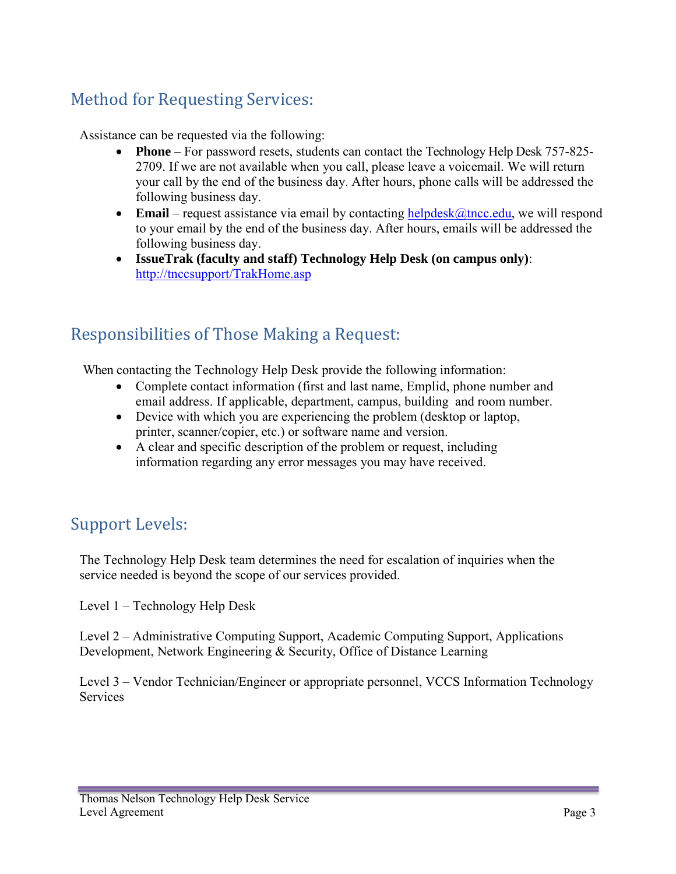# Method for Requesting Services:

Assistance can be requested via the following:

- **Phone**  For password resets, students can contact the Technology Help Desk 757-825- 2709. If we are not available when you call, please leave a voicemail. We will return your call by the end of the business day. After hours, phone calls will be addressed the following business day.
- **Email** request assistance via email by contacting  $\frac{\text{helpdesk}(\hat{a})\text{thcc.edu}}{\text{thecc.edu}}$ , we will respond to your email by the end of the business day. After hours, emails will be addressed the following business day.
- **IssueTrak (faculty and staff) Technology Help Desk (on campus only)**: http://tnccsupport/TrakHome.asp

## Responsibilities of Those Making a Request:

When contacting the Technology Help Desk provide the following information:

- Complete contact information (first and last name, Emplid, phone number and email address. If applicable, department, campus, building and room number.
- Device with which you are experiencing the problem (desktop or laptop, printer, scanner/copier, etc.) or software name and version.
- A clear and specific description of the problem or request, including information regarding any error messages you may have received.

# Support Levels:

The Technology Help Desk team determines the need for escalation of inquiries when the service needed is beyond the scope of our services provided.

Level 1 – Technology Help Desk

Level 2 – Administrative Computing Support, Academic Computing Support, Applications Development, Network Engineering & Security, Office of Distance Learning

Level 3 – Vendor Technician/Engineer or appropriate personnel, VCCS Information Technology **Services**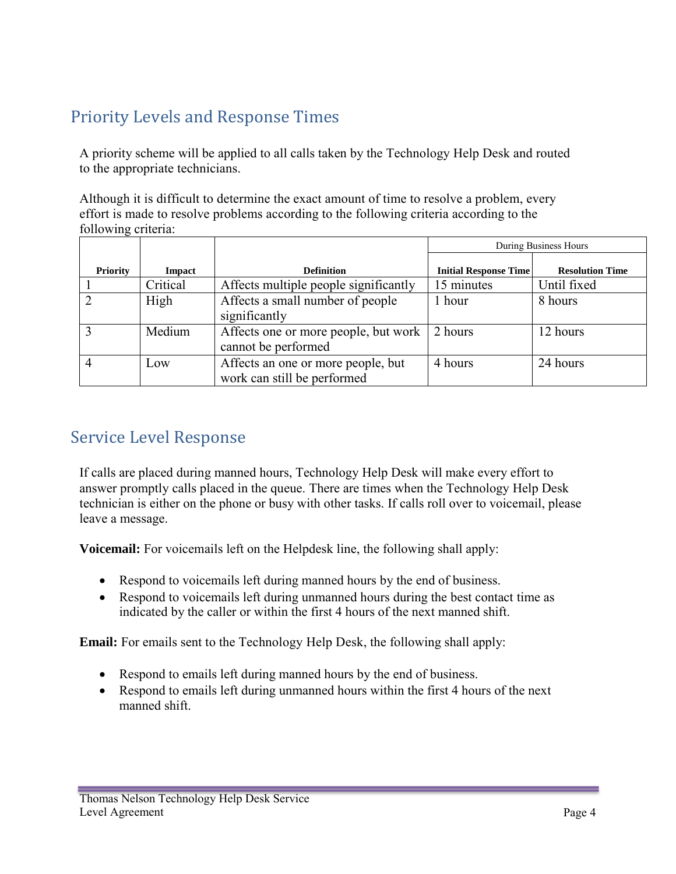# Priority Levels and Response Times

A priority scheme will be applied to all calls taken by the Technology Help Desk and routed to the appropriate technicians.

Although it is difficult to determine the exact amount of time to resolve a problem, every effort is made to resolve problems according to the following criteria according to the following criteria:

|                 |          |                                                                   | During Business Hours        |                        |
|-----------------|----------|-------------------------------------------------------------------|------------------------------|------------------------|
| <b>Priority</b> | Impact   | <b>Definition</b>                                                 | <b>Initial Response Time</b> | <b>Resolution Time</b> |
|                 | Critical | Affects multiple people significantly                             | 15 minutes                   | Until fixed            |
|                 | High     | Affects a small number of people<br>significantly                 | hour                         | 8 hours                |
|                 | Medium   | Affects one or more people, but work<br>cannot be performed       | 2 hours                      | 12 hours               |
|                 | Low      | Affects an one or more people, but<br>work can still be performed | 4 hours                      | 24 hours               |

## Service Level Response

If calls are placed during manned hours, Technology Help Desk will make every effort to answer promptly calls placed in the queue. There are times when the Technology Help Desk technician is either on the phone or busy with other tasks. If calls roll over to voicemail, please leave a message.

**Voicemail:** For voicemails left on the Helpdesk line, the following shall apply:

- Respond to voicemails left during manned hours by the end of business.
- Respond to voicemails left during unmanned hours during the best contact time as indicated by the caller or within the first 4 hours of the next manned shift.

**Email:** For emails sent to the Technology Help Desk, the following shall apply:

- Respond to emails left during manned hours by the end of business.
- Respond to emails left during unmanned hours within the first 4 hours of the next manned shift.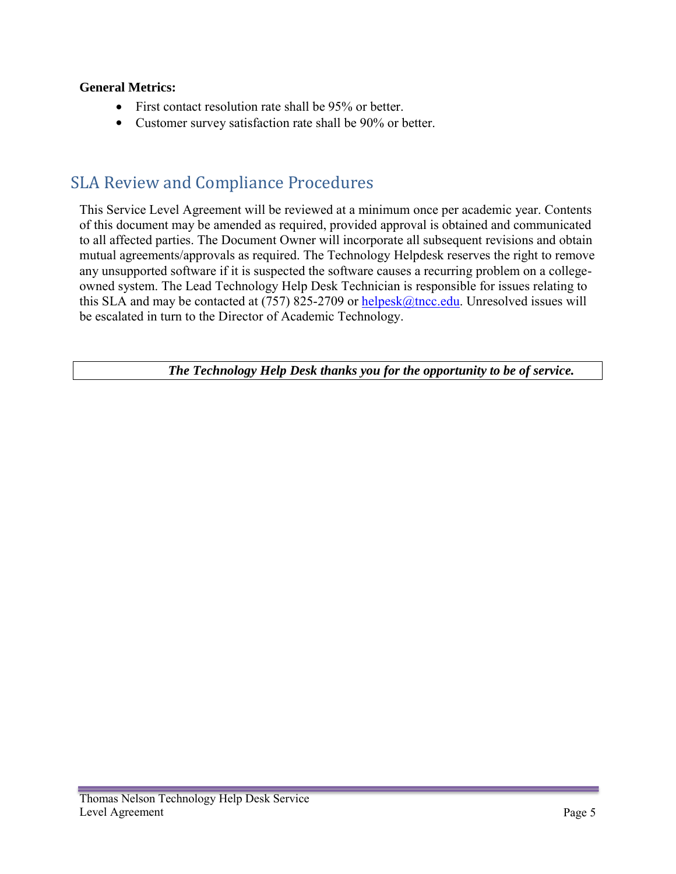#### **General Metrics:**

- First contact resolution rate shall be 95% or better.
- Customer survey satisfaction rate shall be 90% or better.

## SLA Review and Compliance Procedures

This Service Level Agreement will be reviewed at a minimum once per academic year. Contents of this document may be amended as required, provided approval is obtained and communicated to all affected parties. The Document Owner will incorporate all subsequent revisions and obtain mutual agreements/approvals as required. The Technology Helpdesk reserves the right to remove any unsupported software if it is suspected the software causes a recurring problem on a collegeowned system. The Lead Technology Help Desk Technician is responsible for issues relating to this SLA and may be contacted at  $(757)$  825-2709 or helpesk $@$ tncc.edu. Unresolved issues will be escalated in turn to the Director of Academic Technology.

*The Technology Help Desk thanks you for the opportunity to be of service.*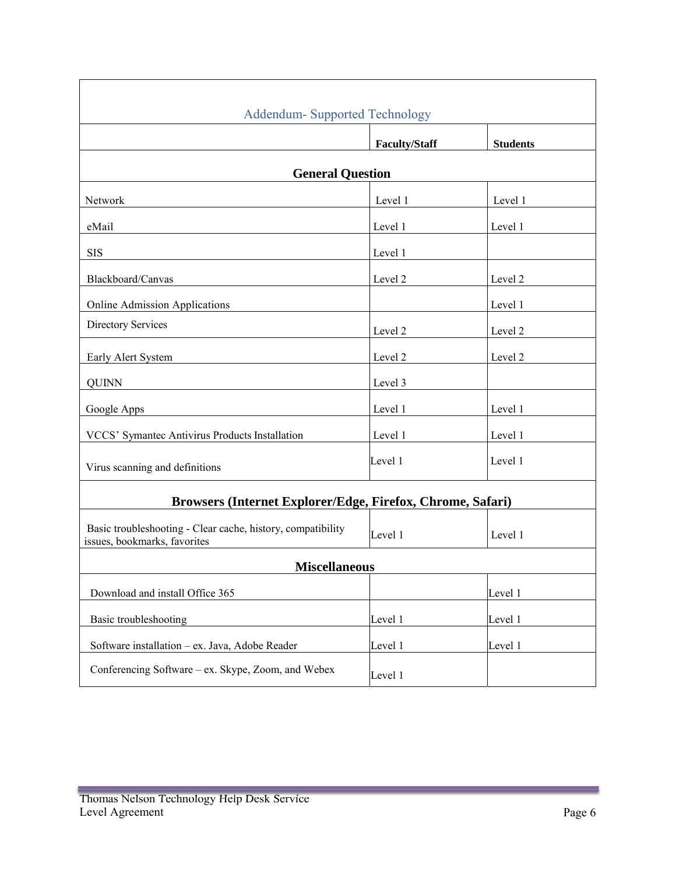| <b>Addendum- Supported Technology</b>                                                       |                      |                 |  |  |  |
|---------------------------------------------------------------------------------------------|----------------------|-----------------|--|--|--|
|                                                                                             | <b>Faculty/Staff</b> | <b>Students</b> |  |  |  |
| <b>General Question</b>                                                                     |                      |                 |  |  |  |
| Network                                                                                     | Level 1              | Level 1         |  |  |  |
| eMail                                                                                       | Level 1              | Level 1         |  |  |  |
| <b>SIS</b>                                                                                  | Level 1              |                 |  |  |  |
| Blackboard/Canvas                                                                           | Level 2              | Level 2         |  |  |  |
| <b>Online Admission Applications</b>                                                        |                      | Level 1         |  |  |  |
| <b>Directory Services</b>                                                                   | Level 2              | Level 2         |  |  |  |
| Early Alert System                                                                          | Level 2              | Level 2         |  |  |  |
| <b>QUINN</b>                                                                                | Level 3              |                 |  |  |  |
| Google Apps                                                                                 | Level 1              | Level 1         |  |  |  |
| VCCS' Symantec Antivirus Products Installation                                              | Level 1              | Level 1         |  |  |  |
| Virus scanning and definitions                                                              | Level 1              | Level 1         |  |  |  |
| Browsers (Internet Explorer/Edge, Firefox, Chrome, Safari)                                  |                      |                 |  |  |  |
| Basic troubleshooting - Clear cache, history, compatibility<br>issues, bookmarks, favorites | Level 1              | Level 1         |  |  |  |
| <b>Miscellaneous</b>                                                                        |                      |                 |  |  |  |
| Download and install Office 365                                                             |                      | Level 1         |  |  |  |
| Basic troubleshooting                                                                       | Level 1              | Level 1         |  |  |  |
| Software installation - ex. Java, Adobe Reader                                              | Level 1              | Level 1         |  |  |  |
| Conferencing Software – ex. Skype, Zoom, and Webex                                          | Level 1              |                 |  |  |  |